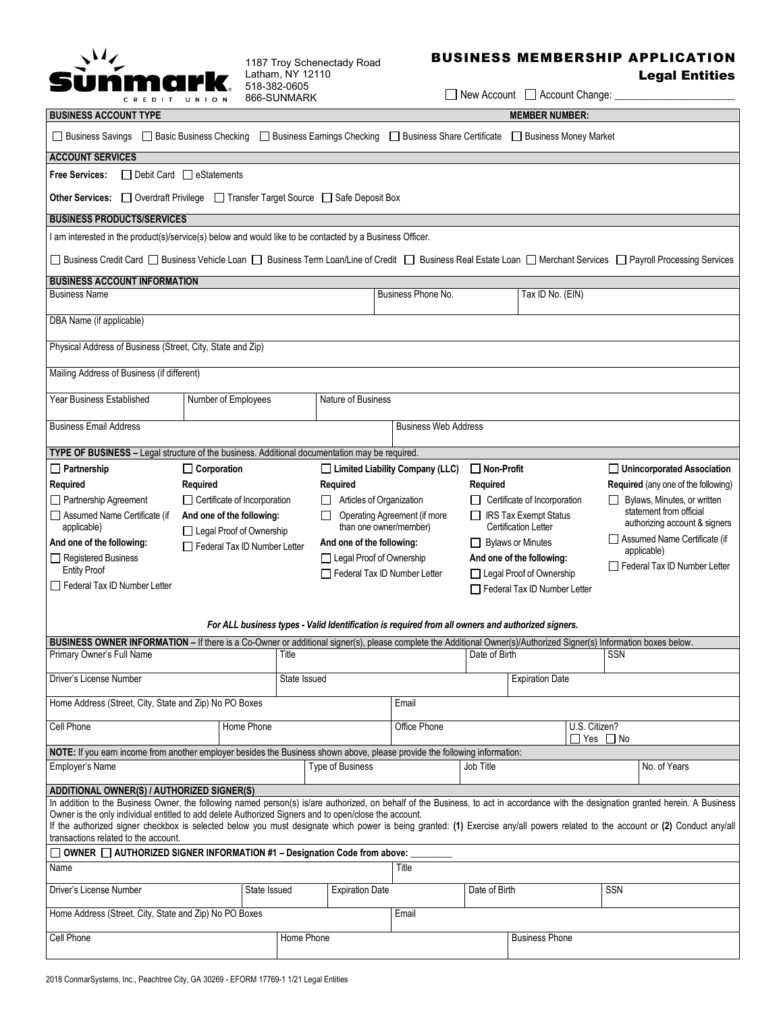

1187 Troy Schenectady Road Latham, NY 12110 518-382-0605

## BUSINESS MEMBERSHIP APPLICATION

## Legal Entities

 $\Box$  New Account  $\Box$  Account Change:

| CREDIT UNION                                                                                                                                                                                                                      |                                     | 866-SUNMARK  |                           |                                                         |                          | $\Box$ New Account $\Box$ Account Griange. |                                       |                                                               |  |  |
|-----------------------------------------------------------------------------------------------------------------------------------------------------------------------------------------------------------------------------------|-------------------------------------|--------------|---------------------------|---------------------------------------------------------|--------------------------|--------------------------------------------|---------------------------------------|---------------------------------------------------------------|--|--|
| <b>BUSINESS ACCOUNT TYPE</b>                                                                                                                                                                                                      | <b>MEMBER NUMBER:</b>               |              |                           |                                                         |                          |                                            |                                       |                                                               |  |  |
| Business Share Certificate<br>□ Business Savings □ Basic Business Checking □ Business Earnings Checking<br>Business Money Market                                                                                                  |                                     |              |                           |                                                         |                          |                                            |                                       |                                                               |  |  |
| <b>ACCOUNT SERVICES</b>                                                                                                                                                                                                           |                                     |              |                           |                                                         |                          |                                            |                                       |                                                               |  |  |
| <b>Free Services:</b><br>$\Box$ Debit Card $\Box$ eStatements                                                                                                                                                                     |                                     |              |                           |                                                         |                          |                                            |                                       |                                                               |  |  |
| <b>Other Services:</b> □ Overdraft Privilege □ Transfer Target Source □ Safe Deposit Box                                                                                                                                          |                                     |              |                           |                                                         |                          |                                            |                                       |                                                               |  |  |
| <b>BUSINESS PRODUCTS/SERVICES</b>                                                                                                                                                                                                 |                                     |              |                           |                                                         |                          |                                            |                                       |                                                               |  |  |
| I am interested in the product(s)/service(s) below and would like to be contacted by a Business Officer.                                                                                                                          |                                     |              |                           |                                                         |                          |                                            |                                       |                                                               |  |  |
| □ Business Credit Card □ Business Vehicle Loan □ Business Term Loan/Line of Credit □ Business Real Estate Loan □ Merchant Services □ Payroll Processing Services                                                                  |                                     |              |                           |                                                         |                          |                                            |                                       |                                                               |  |  |
| <b>BUSINESS ACCOUNT INFORMATION</b><br><b>Business Name</b>                                                                                                                                                                       |                                     |              |                           | Business Phone No.                                      |                          | Tax ID No. (EIN)                           |                                       |                                                               |  |  |
|                                                                                                                                                                                                                                   |                                     |              |                           |                                                         |                          |                                            |                                       |                                                               |  |  |
| DBA Name (if applicable)                                                                                                                                                                                                          |                                     |              |                           |                                                         |                          |                                            |                                       |                                                               |  |  |
| Physical Address of Business (Street, City, State and Zip)                                                                                                                                                                        |                                     |              |                           |                                                         |                          |                                            |                                       |                                                               |  |  |
| Mailing Address of Business (if different)                                                                                                                                                                                        |                                     |              |                           |                                                         |                          |                                            |                                       |                                                               |  |  |
| <b>Year Business Established</b>                                                                                                                                                                                                  | Number of Employees                 |              | Nature of Business        |                                                         |                          |                                            |                                       |                                                               |  |  |
| <b>Business Email Address</b>                                                                                                                                                                                                     |                                     |              |                           | <b>Business Web Address</b>                             |                          |                                            |                                       |                                                               |  |  |
| TYPE OF BUSINESS - Legal structure of the business. Additional documentation may be required.                                                                                                                                     |                                     |              |                           |                                                         |                          |                                            |                                       |                                                               |  |  |
| $\Box$ Partnership                                                                                                                                                                                                                | $\Box$ Corporation                  |              |                           | $\Box$ Limited Liability Company (LLC)                  | $\Box$ Non-Profit        |                                            |                                       | Unincorporated Association                                    |  |  |
| Required                                                                                                                                                                                                                          | Required                            |              | Required                  |                                                         | Required                 |                                            |                                       | Required (any one of the following)                           |  |  |
| $\Box$ Partnership Agreement                                                                                                                                                                                                      | $\Box$ Certificate of Incorporation |              | Articles of Organization  |                                                         |                          | $\Box$ Certificate of Incorporation        |                                       | Bylaws, Minutes, or written                                   |  |  |
| Assumed Name Certificate (if                                                                                                                                                                                                      | And one of the following:           |              | $\Box$                    | Operating Agreement (if more<br>□ IRS Tax Exempt Status |                          |                                            |                                       | statement from official                                       |  |  |
| applicable)                                                                                                                                                                                                                       | Legal Proof of Ownership            |              | than one owner/member)    |                                                         |                          | <b>Certification Letter</b>                |                                       | authorizing account & signers<br>Assumed Name Certificate (if |  |  |
| And one of the following:                                                                                                                                                                                                         | Federal Tax ID Number Letter        |              | And one of the following: |                                                         |                          | Bylaws or Minutes                          |                                       | applicable)                                                   |  |  |
| Registered Business<br><b>Entity Proof</b>                                                                                                                                                                                        |                                     |              | Legal Proof of Ownership  |                                                         |                          | And one of the following:                  |                                       | Federal Tax ID Number Letter                                  |  |  |
| Federal Tax ID Number Letter<br>Federal Tax ID Number Letter                                                                                                                                                                      |                                     |              |                           |                                                         | Legal Proof of Ownership |                                            |                                       |                                                               |  |  |
|                                                                                                                                                                                                                                   |                                     |              |                           |                                                         |                          | Federal Tax ID Number Letter               |                                       |                                                               |  |  |
| For ALL business types - Valid Identification is required from all owners and authorized signers.                                                                                                                                 |                                     |              |                           |                                                         |                          |                                            |                                       |                                                               |  |  |
| BUSINESS OWNER INFORMATION - If there is a Co-Owner or additional signer(s), please complete the Additional Owner(s)/Authorized Signer(s) Information boxes below.                                                                |                                     |              |                           |                                                         |                          |                                            |                                       |                                                               |  |  |
| Primary Owner's Full Name                                                                                                                                                                                                         |                                     | Title        |                           |                                                         | Date of Birth            |                                            | <b>SSN</b>                            |                                                               |  |  |
| Driver's License Number                                                                                                                                                                                                           |                                     | State Issued |                           |                                                         |                          | <b>Expiration Date</b>                     |                                       |                                                               |  |  |
| Home Address (Street, City, State and Zip) No PO Boxes                                                                                                                                                                            |                                     |              |                           | Email                                                   |                          |                                            |                                       |                                                               |  |  |
|                                                                                                                                                                                                                                   |                                     |              |                           |                                                         |                          |                                            |                                       |                                                               |  |  |
| Cell Phone                                                                                                                                                                                                                        | Home Phone                          |              |                           | Office Phone                                            |                          |                                            | U.S. Citizen?<br>$\Box$ Yes $\Box$ No |                                                               |  |  |
| NOTE: If you earn income from another employer besides the Business shown above, please provide the following information:                                                                                                        |                                     |              |                           |                                                         |                          |                                            |                                       |                                                               |  |  |
| Employer's Name                                                                                                                                                                                                                   |                                     |              | Type of Business          |                                                         | Job Title                |                                            |                                       | No. of Years                                                  |  |  |
| ADDITIONAL OWNER(S) / AUTHORIZED SIGNER(S)<br>In addition to the Business Owner, the following named person(s) is/are authorized, on behalf of the Business, to act in accordance with the designation granted herein. A Business |                                     |              |                           |                                                         |                          |                                            |                                       |                                                               |  |  |
| Owner is the only individual entitled to add delete Authorized Signers and to open/close the account.                                                                                                                             |                                     |              |                           |                                                         |                          |                                            |                                       |                                                               |  |  |
| If the authorized signer checkbox is selected below you must designate which power is being granted: (1) Exercise any/all powers related to the account or (2) Conduct any/all                                                    |                                     |              |                           |                                                         |                          |                                            |                                       |                                                               |  |  |
| transactions related to the account.                                                                                                                                                                                              |                                     |              |                           |                                                         |                          |                                            |                                       |                                                               |  |  |
| $\Box$ OWNER $\Box$ AUTHORIZED SIGNER INFORMATION #1 – Designation Code from above:<br>Name<br>Title                                                                                                                              |                                     |              |                           |                                                         |                          |                                            |                                       |                                                               |  |  |
| Driver's License Number                                                                                                                                                                                                           | State Issued                        |              | <b>Expiration Date</b>    |                                                         | Date of Birth            |                                            | SSN                                   |                                                               |  |  |
| Home Address (Street, City, State and Zip) No PO Boxes<br>Email                                                                                                                                                                   |                                     |              |                           |                                                         |                          |                                            |                                       |                                                               |  |  |
| Cell Phone<br>Home Phone<br><b>Business Phone</b>                                                                                                                                                                                 |                                     |              |                           |                                                         |                          |                                            |                                       |                                                               |  |  |
|                                                                                                                                                                                                                                   |                                     |              |                           |                                                         |                          |                                            |                                       |                                                               |  |  |